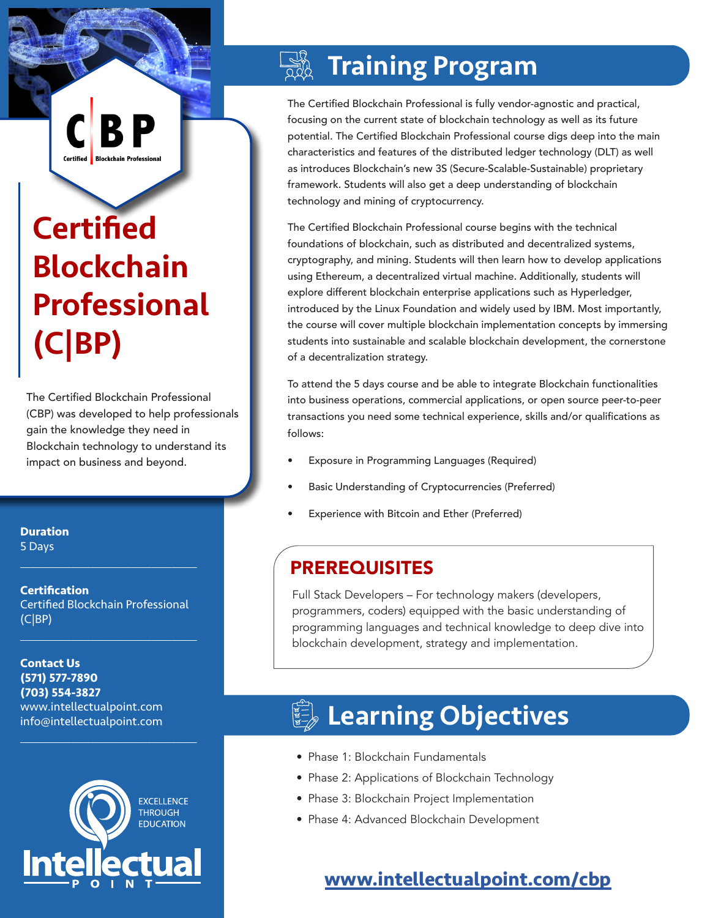# **Certified** Blockchain Professional (C|BP)

Certified

The Certified Blockchain Professional (CBP) was developed to help professionals gain the knowledge they need in Blockchain technology to understand its impact on business and beyond.

**Duration** 5 Days

**Certification** Certified Blockchain Professional (C|BP)

 $\mathcal{L}_\text{max}$  and  $\mathcal{L}_\text{max}$  and  $\mathcal{L}_\text{max}$  and  $\mathcal{L}_\text{max}$ 

 $\mathcal{L}_\text{max}$  , and the set of the set of the set of the set of the set of the set of the set of the set of the set of the set of the set of the set of the set of the set of the set of the set of the set of the set of the

 $\mathcal{L}_\text{max}$  and  $\mathcal{L}_\text{max}$  and  $\mathcal{L}_\text{max}$  and  $\mathcal{L}_\text{max}$ 

**Contact Us (571) 577-7890 (703) 554-3827** www.intellectualpoint.com info@intellectualpoint.com



# Training Program

The Certified Blockchain Professional is fully vendor-agnostic and practical, focusing on the current state of blockchain technology as well as its future potential. The Certified Blockchain Professional course digs deep into the main characteristics and features of the distributed ledger technology (DLT) as well as introduces Blockchain's new 3S (Secure-Scalable-Sustainable) proprietary framework. Students will also get a deep understanding of blockchain technology and mining of cryptocurrency.

The Certified Blockchain Professional course begins with the technical foundations of blockchain, such as distributed and decentralized systems, cryptography, and mining. Students will then learn how to develop applications using Ethereum, a decentralized virtual machine. Additionally, students will explore different blockchain enterprise applications such as Hyperledger, introduced by the Linux Foundation and widely used by IBM. Most importantly, the course will cover multiple blockchain implementation concepts by immersing students into sustainable and scalable blockchain development, the cornerstone of a decentralization strategy.

To attend the 5 days course and be able to integrate Blockchain functionalities into business operations, commercial applications, or open source peer-to-peer transactions you need some technical experience, skills and/or qualifications as follows:

- Exposure in Programming Languages (Required)
- Basic Understanding of Cryptocurrencies (Preferred)
- Experience with Bitcoin and Ether (Preferred)

## PREREQUISITES

Full Stack Developers – For technology makers (developers, programmers, coders) equipped with the basic understanding of programming languages and technical knowledge to deep dive into blockchain development, strategy and implementation.

# **Learning Objectives**

- Phase 1: Blockchain Fundamentals
- Phase 2: Applications of Blockchain Technology
- Phase 3: Blockchain Project Implementation
- Phase 4: Advanced Blockchain Development

## **[www.intellectualpoint.com/c](https://www.intellectualpoint.com/product/certified-blockchain-professional/)bp**